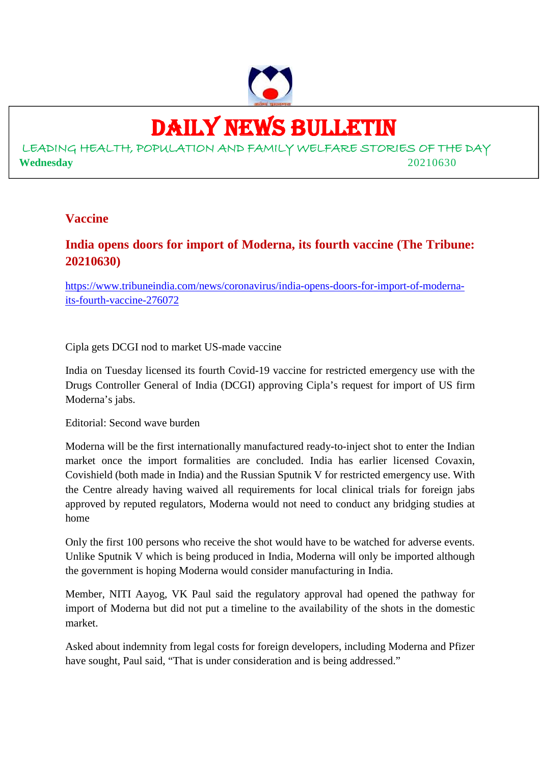

## DAILY NEWS BULLETIN

LEADING HEALTH, POPULATION AND FAMILY WELFARE STORIES OF THE DAY **Wednesday** 20210630

#### **Vaccine**

#### **India opens doors for import of Moderna, its fourth vaccine (The Tribune: 20210630)**

https://www.tribuneindia.com/news/coronavirus/india-opens-doors-for-import-of-modernaits-fourth-vaccine-276072

Cipla gets DCGI nod to market US-made vaccine

India on Tuesday licensed its fourth Covid-19 vaccine for restricted emergency use with the Drugs Controller General of India (DCGI) approving Cipla's request for import of US firm Moderna's jabs.

Editorial: Second wave burden

Moderna will be the first internationally manufactured ready-to-inject shot to enter the Indian market once the import formalities are concluded. India has earlier licensed Covaxin, Covishield (both made in India) and the Russian Sputnik V for restricted emergency use. With the Centre already having waived all requirements for local clinical trials for foreign jabs approved by reputed regulators, Moderna would not need to conduct any bridging studies at home

Only the first 100 persons who receive the shot would have to be watched for adverse events. Unlike Sputnik V which is being produced in India, Moderna will only be imported although the government is hoping Moderna would consider manufacturing in India.

Member, NITI Aayog, VK Paul said the regulatory approval had opened the pathway for import of Moderna but did not put a timeline to the availability of the shots in the domestic market.

Asked about indemnity from legal costs for foreign developers, including Moderna and Pfizer have sought, Paul said, "That is under consideration and is being addressed."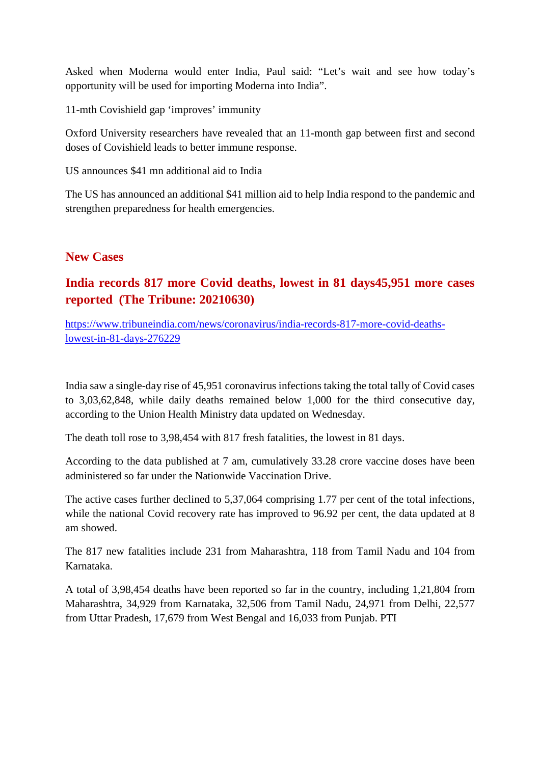Asked when Moderna would enter India, Paul said: "Let's wait and see how today's opportunity will be used for importing Moderna into India".

11-mth Covishield gap 'improves' immunity

Oxford University researchers have revealed that an 11-month gap between first and second doses of Covishield leads to better immune response.

US announces \$41 mn additional aid to India

The US has announced an additional \$41 million aid to help India respond to the pandemic and strengthen preparedness for health emergencies.

#### **New Cases**

#### **India records 817 more Covid deaths, lowest in 81 days45,951 more cases reported (The Tribune: 20210630)**

https://www.tribuneindia.com/news/coronavirus/india-records-817-more-covid-deathslowest-in-81-days-276229

India saw a single-day rise of 45,951 coronavirus infections taking the total tally of Covid cases to 3,03,62,848, while daily deaths remained below 1,000 for the third consecutive day, according to the Union Health Ministry data updated on Wednesday.

The death toll rose to 3,98,454 with 817 fresh fatalities, the lowest in 81 days.

According to the data published at 7 am, cumulatively 33.28 crore vaccine doses have been administered so far under the Nationwide Vaccination Drive.

The active cases further declined to 5,37,064 comprising 1.77 per cent of the total infections, while the national Covid recovery rate has improved to 96.92 per cent, the data updated at 8 am showed.

The 817 new fatalities include 231 from Maharashtra, 118 from Tamil Nadu and 104 from Karnataka.

A total of 3,98,454 deaths have been reported so far in the country, including 1,21,804 from Maharashtra, 34,929 from Karnataka, 32,506 from Tamil Nadu, 24,971 from Delhi, 22,577 from Uttar Pradesh, 17,679 from West Bengal and 16,033 from Punjab. PTI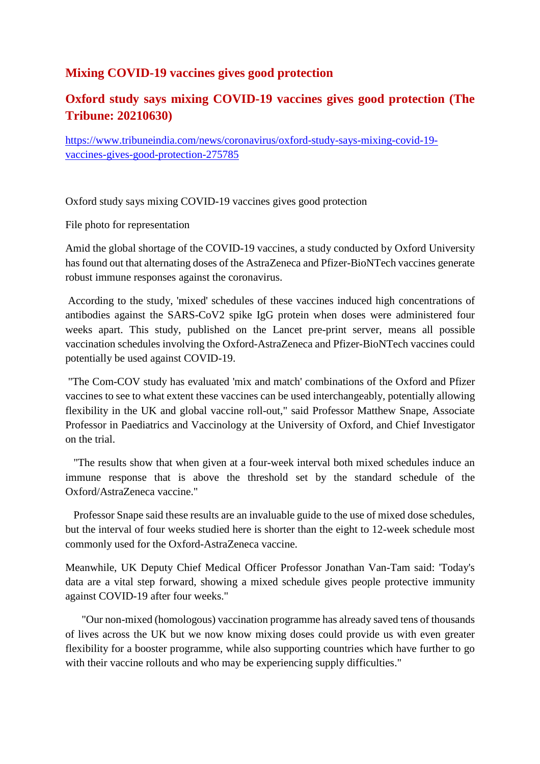#### **Mixing COVID-19 vaccines gives good protection**

#### **Oxford study says mixing COVID-19 vaccines gives good protection (The Tribune: 20210630)**

https://www.tribuneindia.com/news/coronavirus/oxford-study-says-mixing-covid-19 vaccines-gives-good-protection-275785

Oxford study says mixing COVID-19 vaccines gives good protection

File photo for representation

Amid the global shortage of the COVID-19 vaccines, a study conducted by Oxford University has found out that alternating doses of the AstraZeneca and Pfizer-BioNTech vaccines generate robust immune responses against the coronavirus.

According to the study, 'mixed' schedules of these vaccines induced high concentrations of antibodies against the SARS-CoV2 spike IgG protein when doses were administered four weeks apart. This study, published on the Lancet pre-print server, means all possible vaccination schedules involving the Oxford-AstraZeneca and Pfizer-BioNTech vaccines could potentially be used against COVID-19.

"The Com-COV study has evaluated 'mix and match' combinations of the Oxford and Pfizer vaccines to see to what extent these vaccines can be used interchangeably, potentially allowing flexibility in the UK and global vaccine roll-out," said Professor Matthew Snape, Associate Professor in Paediatrics and Vaccinology at the University of Oxford, and Chief Investigator on the trial.

"The results show that when given at a four-week interval both mixed schedules induce an immune response that is above the threshold set by the standard schedule of the Oxford/AstraZeneca vaccine."

Professor Snape said these results are an invaluable guide to the use of mixed dose schedules, but the interval of four weeks studied here is shorter than the eight to 12-week schedule most commonly used for the Oxford-AstraZeneca vaccine.

Meanwhile, UK Deputy Chief Medical Officer Professor Jonathan Van-Tam said: 'Today's data are a vital step forward, showing a mixed schedule gives people protective immunity against COVID-19 after four weeks."

"Our non-mixed (homologous) vaccination programme has already saved tens of thousands of lives across the UK but we now know mixing doses could provide us with even greater flexibility for a booster programme, while also supporting countries which have further to go with their vaccine rollouts and who may be experiencing supply difficulties."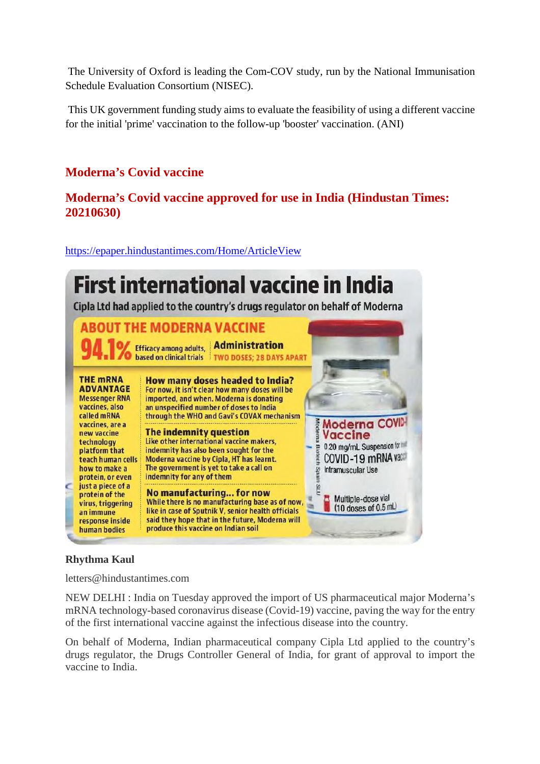The University of Oxford is leading the Com-COV study, run by the National Immunisation Schedule Evaluation Consortium (NISEC).

This UK government funding study aims to evaluate the feasibility of using a different vaccine for the initial 'prime' vaccination to the follow-up 'booster' vaccination. (ANI)

#### **Moderna's Covid vaccine**

#### **Moderna's Covid vaccine approved for use in India (Hindustan Times: 20210630)**

https://epaper.hindustantimes.com/Home/ArticleView



#### **Rhythma Kaul**

letters@hindustantimes.com

NEW DELHI : India on Tuesday approved the import of US pharmaceutical major Moderna's mRNA technology-based coronavirus disease (Covid-19) vaccine, paving the way for the entry of the first international vaccine against the infectious disease into the country.

On behalf of Moderna, Indian pharmaceutical company Cipla Ltd applied to the country's drugs regulator, the Drugs Controller General of India, for grant of approval to import the vaccine to India.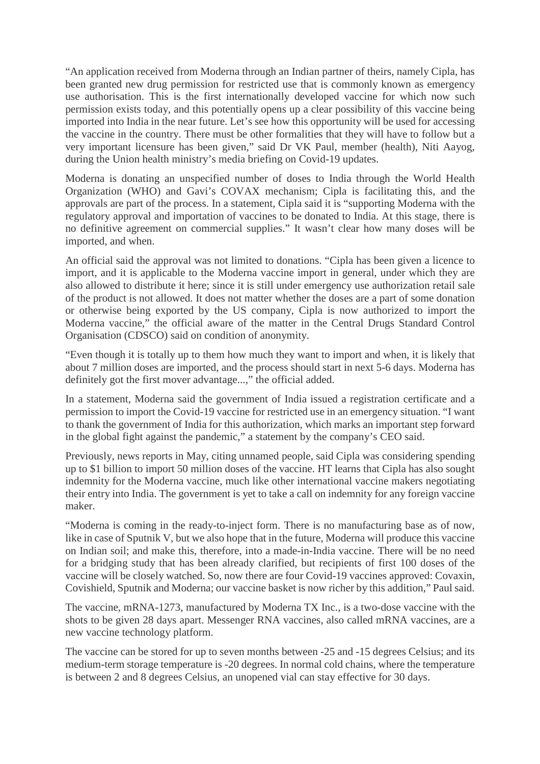"An application received from Moderna through an Indian partner of theirs, namely Cipla, has been granted new drug permission for restricted use that is commonly known as emergency use authorisation. This is the first internationally developed vaccine for which now such permission exists today, and this potentially opens up a clear possibility of this vaccine being imported into India in the near future. Let's see how this opportunity will be used for accessing the vaccine in the country. There must be other formalities that they will have to follow but a very important licensure has been given," said Dr VK Paul, member (health), Niti Aayog, during the Union health ministry's media briefing on Covid-19 updates.

Moderna is donating an unspecified number of doses to India through the World Health Organization (WHO) and Gavi's COVAX mechanism; Cipla is facilitating this, and the approvals are part of the process. In a statement, Cipla said it is "supporting Moderna with the regulatory approval and importation of vaccines to be donated to India. At this stage, there is no definitive agreement on commercial supplies." It wasn't clear how many doses will be imported, and when.

An official said the approval was not limited to donations. "Cipla has been given a licence to import, and it is applicable to the Moderna vaccine import in general, under which they are also allowed to distribute it here; since it is still under emergency use authorization retail sale of the product is not allowed. It does not matter whether the doses are a part of some donation or otherwise being exported by the US company, Cipla is now authorized to import the Moderna vaccine," the official aware of the matter in the Central Drugs Standard Control Organisation (CDSCO) said on condition of anonymity.

"Even though it is totally up to them how much they want to import and when, it is likely that about 7 million doses are imported, and the process should start in next 5-6 days. Moderna has definitely got the first mover advantage...," the official added.

In a statement, Moderna said the government of India issued a registration certificate and a permission to import the Covid-19 vaccine for restricted use in an emergency situation. "I want to thank the government of India for this authorization, which marks an important step forward in the global fight against the pandemic," a statement by the company's CEO said.

Previously, news reports in May, citing unnamed people, said Cipla was considering spending up to \$1 billion to import 50 million doses of the vaccine. HT learns that Cipla has also sought indemnity for the Moderna vaccine, much like other international vaccine makers negotiating their entry into India. The government is yet to take a call on indemnity for any foreign vaccine maker.

"Moderna is coming in the ready-to-inject form. There is no manufacturing base as of now, like in case of Sputnik V, but we also hope that in the future, Moderna will produce this vaccine on Indian soil; and make this, therefore, into a made-in-India vaccine. There will be no need for a bridging study that has been already clarified, but recipients of first 100 doses of the vaccine will be closely watched. So, now there are four Covid-19 vaccines approved: Covaxin, Covishield, Sputnik and Moderna; our vaccine basket is now richer by this addition," Paul said.

The vaccine, mRNA-1273, manufactured by Moderna TX Inc., is a two-dose vaccine with the shots to be given 28 days apart. Messenger RNA vaccines, also called mRNA vaccines, are a new vaccine technology platform.

The vaccine can be stored for up to seven months between -25 and -15 degrees Celsius; and its medium-term storage temperature is -20 degrees. In normal cold chains, where the temperature is between 2 and 8 degrees Celsius, an unopened vial can stay effective for 30 days.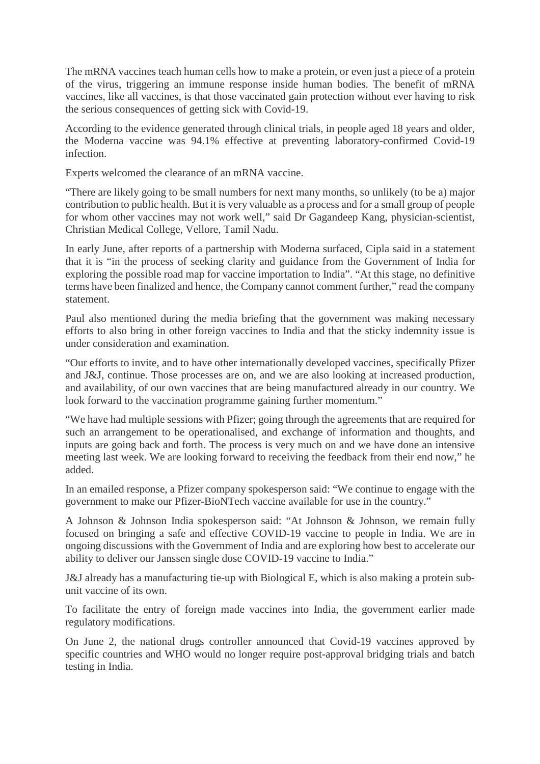The mRNA vaccines teach human cells how to make a protein, or even just a piece of a protein of the virus, triggering an immune response inside human bodies. The benefit of mRNA vaccines, like all vaccines, is that those vaccinated gain protection without ever having to risk the serious consequences of getting sick with Covid-19.

According to the evidence generated through clinical trials, in people aged 18 years and older, the Moderna vaccine was 94.1% effective at preventing laboratory-confirmed Covid-19 infection.

Experts welcomed the clearance of an mRNA vaccine.

"There are likely going to be small numbers for next many months, so unlikely (to be a) major contribution to public health. But it is very valuable as a process and for a small group of people for whom other vaccines may not work well," said Dr Gagandeep Kang, physician-scientist, Christian Medical College, Vellore, Tamil Nadu.

In early June, after reports of a partnership with Moderna surfaced, Cipla said in a statement that it is "in the process of seeking clarity and guidance from the Government of India for exploring the possible road map for vaccine importation to India". "At this stage, no definitive terms have been finalized and hence, the Company cannot comment further," read the company statement.

Paul also mentioned during the media briefing that the government was making necessary efforts to also bring in other foreign vaccines to India and that the sticky indemnity issue is under consideration and examination.

"Our efforts to invite, and to have other internationally developed vaccines, specifically Pfizer and J&J, continue. Those processes are on, and we are also looking at increased production, and availability, of our own vaccines that are being manufactured already in our country. We look forward to the vaccination programme gaining further momentum."

"We have had multiple sessions with Pfizer; going through the agreements that are required for such an arrangement to be operationalised, and exchange of information and thoughts, and inputs are going back and forth. The process is very much on and we have done an intensive meeting last week. We are looking forward to receiving the feedback from their end now," he added.

In an emailed response, a Pfizer company spokesperson said: "We continue to engage with the government to make our Pfizer-BioNTech vaccine available for use in the country."

A Johnson & Johnson India spokesperson said: "At Johnson & Johnson, we remain fully focused on bringing a safe and effective COVID-19 vaccine to people in India. We are in ongoing discussions with the Government of India and are exploring how best to accelerate our ability to deliver our Janssen single dose COVID-19 vaccine to India."

J&J already has a manufacturing tie-up with Biological E, which is also making a protein subunit vaccine of its own.

To facilitate the entry of foreign made vaccines into India, the government earlier made regulatory modifications.

On June 2, the national drugs controller announced that Covid-19 vaccines approved by specific countries and WHO would no longer require post-approval bridging trials and batch testing in India.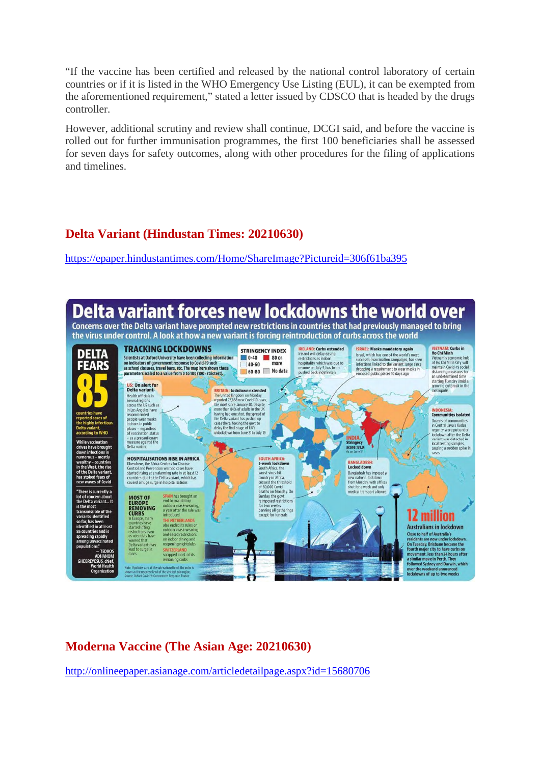"If the vaccine has been certified and released by the national control laboratory of certain countries or if it is listed in the WHO Emergency Use Listing (EUL), it can be exempted from the aforementioned requirement," stated a letter issued by CDSCO that is headed by the drugs controller.

However, additional scrutiny and review shall continue, DCGI said, and before the vaccine is rolled out for further immunisation programmes, the first 100 beneficiaries shall be assessed for seven days for safety outcomes, along with other procedures for the filing of applications and timelines.

#### **Delta Variant (Hindustan Times: 20210630)**

https://epaper.hindustantimes.com/Home/ShareImage?Pictureid=306f61ba395



#### **Moderna Vaccine (The Asian Age: 20210630)**

http://onlineepaper.asianage.com/articledetailpage.aspx?id=15680706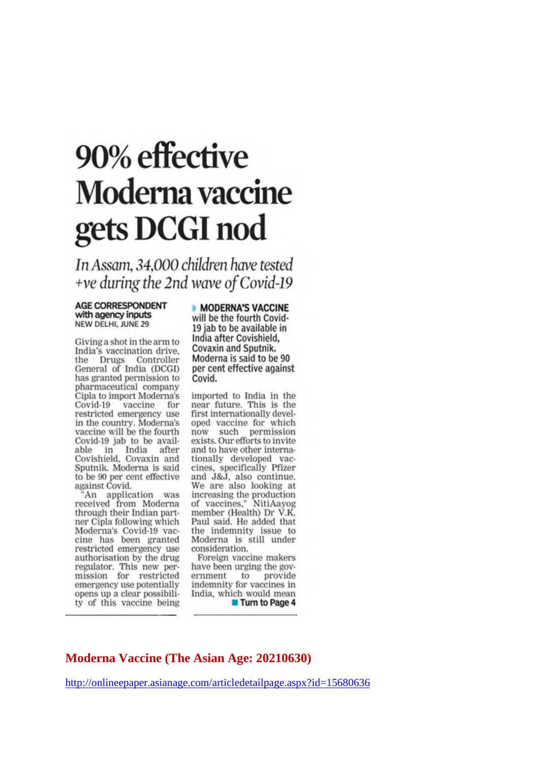# 90% effective **Moderna** vaccine gets DCGI nod

In Assam, 34,000 children have tested +ve during the 2nd wave of Covid-19

#### **AGE CORRESPONDENT** with agency inputs NEW DELHI, JUNE 29

Giving a shot in the arm to India's vaccination drive. the Drugs Controller General of India (DCGI) has granted permission to pharmaceutical company Cipla to import Moderna's Covid-19 vaccine for restricted emergency use in the country. Moderna's vaccine will be the fourth Covid-19 jab to be available in India after<br>Covishield, Covaxin and Sputnik. Moderna is said to be 90 per cent effective against Covid.

"An application was<br>received from Moderna through their Indian partner Cipla following which Moderna's Covid-19 vaccine has been granted restricted emergency use authorisation by the drug regulator. This new per-<br>mission for restricted<br>emergency use potentially opens up a clear possibility of this vaccine being

**MODERNA'S VACCINE** will be the fourth Covid-19 jab to be available in India after Covishield, Covaxin and Sputnik. Moderna is said to be 90 per cent effective against Covid.

imported to India in the near future. This is the first internationally developed vaccine for which now such permission<br>exists. Our efforts to invite and to have other internationally developed vac-<br>cines, specifically Pfizer and J&J, also continue. We are also looking at increasing the production<br>of vaccines," NitiAayog<br>member (Health) Dr V.K. Paul said. He added that the indemnity issue to Moderna is still under consideration.

Foreign vaccine makers have been urging the government to provide<br>indemnity for vaccines in India, which would mean **Turn to Page 4** 

#### **Moderna Vaccine (The Asian Age: 20210630)**

http://onlineepaper.asianage.com/articledetailpage.aspx?id=15680636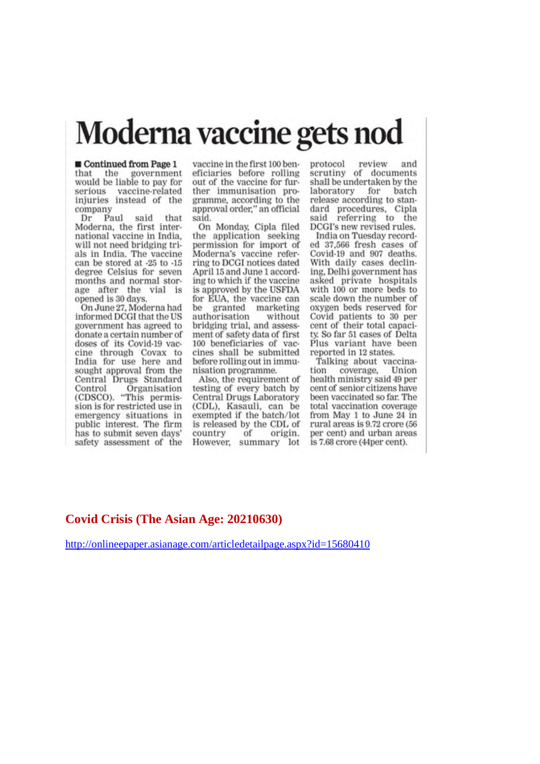## Moderna vaccine gets nod

Continued from Page 1 that the government would be liable to pay for serious vaccine-related injuries instead of the company

Dr Paul said that Moderna, the first international vaccine in India. will not need bridging trials in India. The vaccine can be stored at -25 to -15 degree Celsius for seven months and normal storage after the vial is<br>opened is 30 days.

On June 27, Moderna had informed DCGI that the US government has agreed to donate a certain number of doses of its Covid-19 vaccine through Covax to India for use here and sought approval from the Central Drugs Standard Control Organisation (CDSCO). "This permission is for restricted use in emergency situations in public interest. The firm has to submit seven days' safety assessment of the

vaccine in the first 100 beneficiaries before rolling out of the vaccine for further immunisation programme, according to the approval order," an official said.

On Monday, Cipla filed the application seeking permission for import of Moderna's vaccine referring to DCGI notices dated April 15 and June 1 according to which if the vaccine is approved by the USFDA for EUA, the vaccine can granted marketing be authorisation without bridging trial, and assessment of safety data of first 100 beneficiaries of vaccines shall be submitted before rolling out in immunisation programme.

Also, the requirement of testing of every batch by Central Drugs Laboratory (CDL), Kasauli, can be exempted if the batch/lot is released by the CDL of country of origin. However, summary lot

review protocol and scrutiny of documents shall be undertaken by the laboratory for batch release according to standard procedures, Cipla<br>said referring to the DCGI's new revised rules.

India on Tuesday recorded 37,566 fresh cases of Covid-19 and 907 deaths. With daily cases declining, Delhi government has asked private hospitals with 100 or more beds to scale down the number of oxygen beds reserved for Covid patients to 30 per<br>cent of their total capacity. So far 51 cases of Delta Plus variant have been reported in 12 states.

Talking about vaccinacoverage, tion Union health ministry said 49 per cent of senior citizens have been vaccinated so far. The total vaccination coverage from May 1 to June 24 in rural areas is 9.72 crore (56 per cent) and urban areas is 7.68 crore (44per cent).

#### Covid Crisis (The Asian Age: 20210630)

http://onlineepaper.asianage.com/articledetailpage.aspx?id=15680410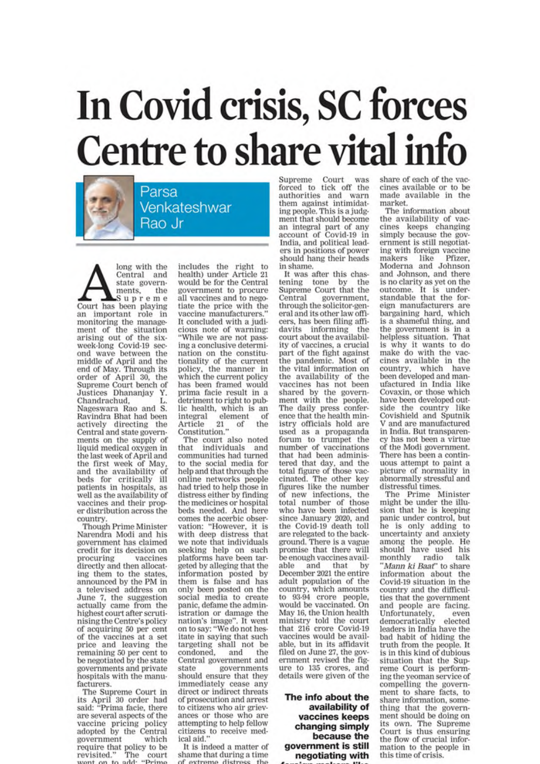# In Covid crisis, SC forces **Centre to share vital info**

Parsa Venkateshwar Rao Jr

long with the Central and state governments, the Supreme Court has been playing an important role in monitoring the management of the situation<br>arising out of the sixweek-long Covid-19 sec-<br>ond wave between the middle of April and the end of May. Through its order of April 30, the<br>Supreme Court bench of Justices Dhananjay Y. Chandrachud. Nageswara Rao and S. Ravindra Bhat had been actively directing the Central and state governments on the supply of liquid medical oxygen in the last week of April and the first week of May. and the availability of beds for critically ill patients in hospitals, as well as the availability of vaccines and their proper distribution across the country

**Though Prime Minister** Narendra Modi and his government has claimed credit for its decision on procuring vaccines directly and then allocating them to the states. announced by the PM in a televised address on June 7, the suggestion<br>actually came from the highest court after scrutinising the Centre's policy of acquiring 50 per cent of the vaccines at a set price and leaving the remaining 50 per cent to be negotiated by the state governments and private hospitals with the manufacturers.

The Supreme Court in its April 30 order had<br>said: "Prima facie, there are several aspects of the vaccine pricing policy<br>adopted by the Central government which require that policy to be<br>revisited." The court

includes the right to health) under Article 21 would be for the Central government to procure<br>all vaccines and to negotiate the price with the vaccine manufacturers. It concluded with a judicious note of warning: 'While we are not passing a conclusive determination on the constitutionality of the current policy, the manner in which the current policy has been framed would prima facie result in a detriment to right to public health, which is an integral element  $\alpha$ <sup> $\beta$ </sup> Article 21<br>Constitution." the of

The court also noted that individuals and communities had turned to the social media for help and that through the online networks people had tried to help those in distress either by finding the medicines or hospital beds needed. And here comes the acerbic observation: "However, it is with deep distress that we note that individuals seeking help on such platforms have been targeted by alleging that the information posted by them is false and has only been posted on the social media to create panic, defame the administration or damage the nation's image". It went on to say: "We do not hesitate in saying that such targeting shall not be condoned. and the Central government and state governments<br>should ensure that they immediately cease any direct or indirect threats of prosecution and arrest to citizens who air grievances or those who are attempting to help fellow citizens to receive medical aid.

It is indeed a matter of shame that during a time avtramo distr

Supreme Court was<br>forced to tick off the authorities and warn them against intimidating people. This is a judgment that should become an integral part of any<br>account of Covid-19 in India, and political leaders in positions of power should hang their heads in shame.

It was after this chastening tone by the Supreme Court that the Central government, through the solicitor-general and its other law officers, has been filing affidavits informing the court about the availability of vaccines, a crucial part of the fight against the pandemic. Most of the vital information on the availability of the vaccines has not been shared by the government with the people. The daily press confer-<br>ence that the health ministry officials hold are<br>used as a propaganda forum to trumpet the number of vaccinations that had been administered that day, and the total figure of those vaccinated. The other key figures like the number of new infections, the<br>total number of those who have been infected since January 2020, and the Covid-19 death toll are relegated to the background. There is a vague promise that there will be enough vaccines available and that by December 2021 the entire adult population of the country, which amounts<br>to 93-94 crore people, would be vaccinated. On May 16, the Union health ministry told the court that 216 crore Covid-19 vaccines would be available, but in its affidavit filed on June 27, the government revised the figure to 135 crores, and<br>details were given of the

#### The info about the availability of vaccines keeps changing simply because the government is still negotiating with

share of each of the vaccines available or to be made available in the market.

The information about the availability of vaccines keeps changing simply because the government is still negotiating with foreign vaccine makers Pfizer like Moderna and Johnson and Johnson, and there is no clarity as yet on the outcome. It is understandable that the foreign manufacturers are bargaining hard, which is a shameful thing, and the government is in a helpless situation. That is why it wants to do make do with the vaccines available in the country, which have been developed and manufactured in India like Covaxin, or those which have been developed outside the country like<br>Covishield and Sputnik V and are manufactured in India. But transparency has not been a virtue of the Modi government. There has been a continuous attempt to paint a picture of normality in abnormally stressful and distressful times.

The Prime Minister<br>might be under the illusion that he is keeping panic under control, but he is only adding to uncertainty and anxiety among the people. He<br>should have used his monthly radio talk 'Mann ki Baat" to share information about the Covid-19 situation in the country and the difficulties that the government and people are facing. Unfortunately,<br>democratically even elected leaders in India have the bad habit of hiding the truth from the people. It is in this kind of dubious situation that the Supreme Court is performing the yeoman service of compelling the government to share facts, to share information, something that the government should be doing on its own. The Supreme<br>Court is thus ensuring the flow of crucial information to the people in this time of crisis.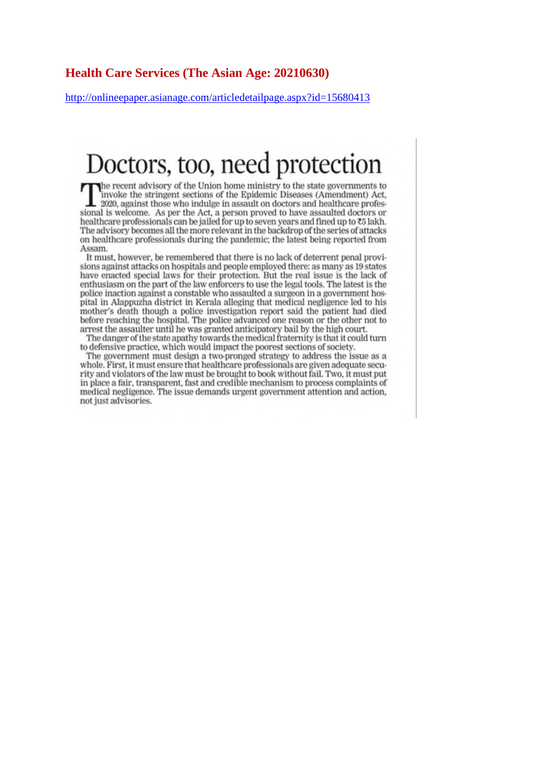#### **Health Care Services (The Asian Age: 20210630)**

http://onlineepaper.asianage.com/articledetailpage.aspx?id=15680413

## Doctors, too, need protection

The recent advisory of the Union home ministry to the state governments to invoke the stringent sections of the Epidemic Diseases (Amendment) Act. 2020, against those who indulge in assault on doctors and healthcare professional is welcome. As per the Act, a person proved to have assaulted doctors or healthcare professionals can be jailed for up to seven years and fined up to  $\overline{3}$  lakh. The advisory becomes all the more relevant in the backdrop of the series of attacks on healthcare professionals during the pandemic; the latest being reported from Assam.

It must, however, be remembered that there is no lack of deterrent penal provisions against attacks on hospitals and people employed there: as many as 19 states have enacted special laws for their protection. But the real issue is the lack of enthusiasm on the part of the law enforcers to use the legal tools. The latest is the police inaction against a constable who assaulted a surgeon in a government hospital in Alappuzha district in Kerala alleging that medical negligence led to his mother's death though a police investigation report said the patient had died before reaching the hospital. The police advanced one reason or the other not to arrest the assaulter until he was granted anticipatory bail by the high court.

The danger of the state apathy towards the medical fraternity is that it could turn to defensive practice, which would impact the poorest sections of society.

The government must design a two-pronged strategy to address the issue as a whole. First, it must ensure that healthcare professionals are given adequate security and violators of the law must be brought to book without fail. Two, it must put in place a fair, transparent, fast and credible mechanism to process complaints of medical negligence. The issue demands urgent government attention and action, not just advisories.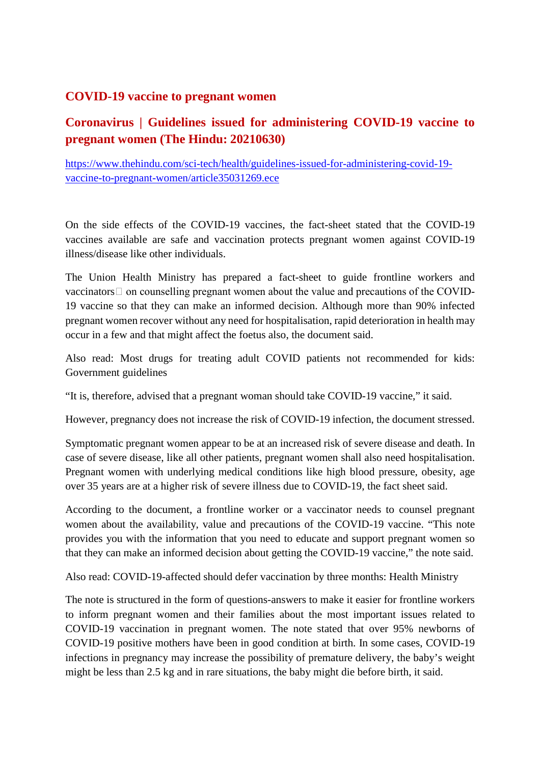#### **COVID-19 vaccine to pregnant women**

#### **Coronavirus | Guidelines issued for administering COVID-19 vaccine to pregnant women (The Hindu: 20210630)**

https://www.thehindu.com/sci-tech/health/guidelines-issued-for-administering-covid-19 vaccine-to-pregnant-women/article35031269.ece

On the side effects of the COVID-19 vaccines, the fact-sheet stated that the COVID-19 vaccines available are safe and vaccination protects pregnant women against COVID-19 illness/disease like other individuals.

The Union Health Ministry has prepared a fact-sheet to guide frontline workers and  $vacinators \Box$  on counselling pregnant women about the value and precautions of the COVID-19 vaccine so that they can make an informed decision. Although more than 90% infected pregnant women recover without any need for hospitalisation, rapid deterioration in health may occur in a few and that might affect the foetus also, the document said.

Also read: Most drugs for treating adult COVID patients not recommended for kids: Government guidelines

"It is, therefore, advised that a pregnant woman should take COVID-19 vaccine," it said.

However, pregnancy does not increase the risk of COVID-19 infection, the document stressed.

Symptomatic pregnant women appear to be at an increased risk of severe disease and death. In case of severe disease, like all other patients, pregnant women shall also need hospitalisation. Pregnant women with underlying medical conditions like high blood pressure, obesity, age over 35 years are at a higher risk of severe illness due to COVID-19, the fact sheet said.

According to the document, a frontline worker or a vaccinator needs to counsel pregnant women about the availability, value and precautions of the COVID-19 vaccine. "This note provides you with the information that you need to educate and support pregnant women so that they can make an informed decision about getting the COVID-19 vaccine," the note said.

Also read: COVID-19-affected should defer vaccination by three months: Health Ministry

The note is structured in the form of questions-answers to make it easier for frontline workers to inform pregnant women and their families about the most important issues related to COVID-19 vaccination in pregnant women. The note stated that over 95% newborns of COVID-19 positive mothers have been in good condition at birth. In some cases, COVID-19 infections in pregnancy may increase the possibility of premature delivery, the baby's weight might be less than 2.5 kg and in rare situations, the baby might die before birth, it said.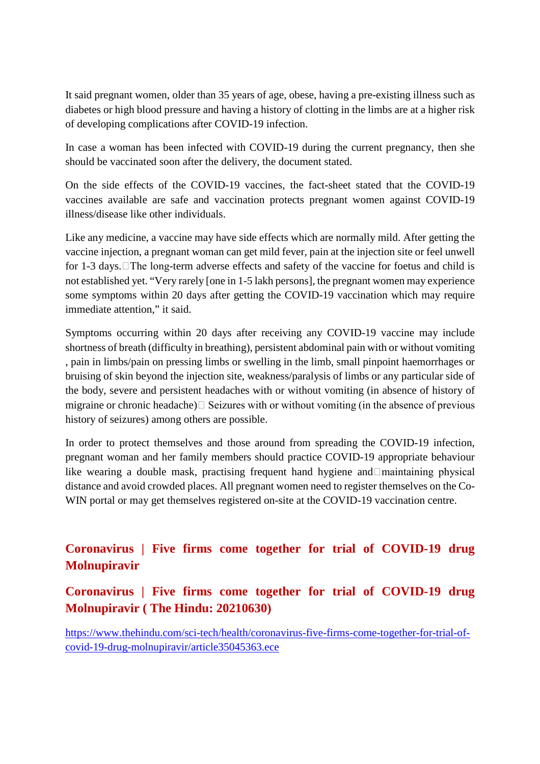It said pregnant women, older than 35 years of age, obese, having a pre-existing illness such as diabetes or high blood pressure and having a history of clotting in the limbs are at a higher risk of developing complications after COVID-19 infection.

In case a woman has been infected with COVID-19 during the current pregnancy, then she should be vaccinated soon after the delivery, the document stated.

On the side effects of the COVID-19 vaccines, the fact-sheet stated that the COVID-19 vaccines available are safe and vaccination protects pregnant women against COVID-19 illness/disease like other individuals.

Like any medicine, a vaccine may have side effects which are normally mild. After getting the vaccine injection, a pregnant woman can get mild fever, pain at the injection site or feel unwell for 1-3 days. The long-term adverse effects and safety of the vaccine for foetus and child is not established yet. "Very rarely [one in 1-5 lakh persons], the pregnant women may experience some symptoms within 20 days after getting the COVID-19 vaccination which may require immediate attention," it said.

Symptoms occurring within 20 days after receiving any COVID-19 vaccine may include shortness of breath (difficulty in breathing), persistent abdominal pain with or without vomiting , pain in limbs/pain on pressing limbs or swelling in the limb, small pinpoint haemorrhages or bruising of skin beyond the injection site, weakness/paralysis of limbs or any particular side of the body, severe and persistent headaches with or without vomiting (in absence of history of migraine or chronic headache) $\Box$  Seizures with or without vomiting (in the absence of previous history of seizures) among others are possible.

In order to protect themselves and those around from spreading the COVID-19 infection, pregnant woman and her family members should practice COVID-19 appropriate behaviour like wearing a double mask, practising frequent hand hygiene and maintaining physical distance and avoid crowded places. All pregnant women need to register themselves on the Co-WIN portal or may get themselves registered on-site at the COVID-19 vaccination centre.

#### **Coronavirus | Five firms come together for trial of COVID-19 drug Molnupiravir**

**Coronavirus | Five firms come together for trial of COVID-19 drug Molnupiravir ( The Hindu: 20210630)**

https://www.thehindu.com/sci-tech/health/coronavirus-five-firms-come-together-for-trial-ofcovid-19-drug-molnupiravir/article35045363.ece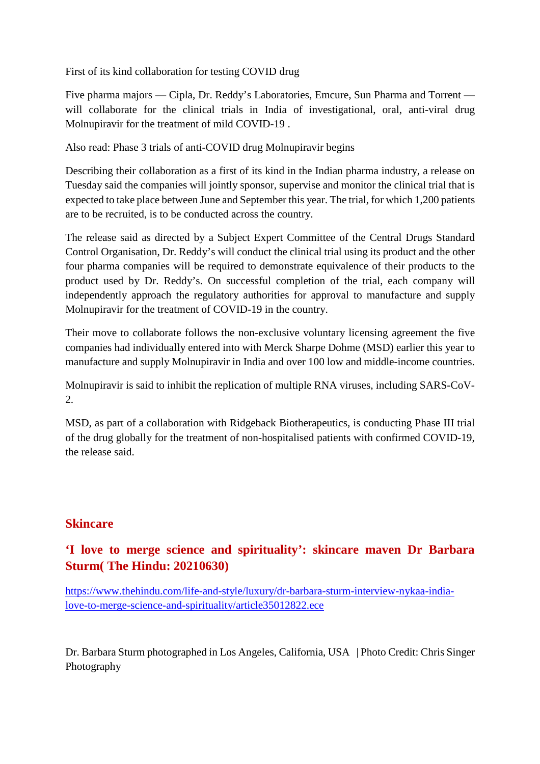First of its kind collaboration for testing COVID drug

Five pharma majors — Cipla, Dr. Reddy's Laboratories, Emcure, Sun Pharma and Torrent will collaborate for the clinical trials in India of investigational, oral, anti-viral drug Molnupiravir for the treatment of mild COVID-19 .

Also read: Phase 3 trials of anti-COVID drug Molnupiravir begins

Describing their collaboration as a first of its kind in the Indian pharma industry, a release on Tuesday said the companies will jointly sponsor, supervise and monitor the clinical trial that is expected to take place between June and September this year. The trial, for which 1,200 patients are to be recruited, is to be conducted across the country.

The release said as directed by a Subject Expert Committee of the Central Drugs Standard Control Organisation, Dr. Reddy's will conduct the clinical trial using its product and the other four pharma companies will be required to demonstrate equivalence of their products to the product used by Dr. Reddy's. On successful completion of the trial, each company will independently approach the regulatory authorities for approval to manufacture and supply Molnupiravir for the treatment of COVID-19 in the country.

Their move to collaborate follows the non-exclusive voluntary licensing agreement the five companies had individually entered into with Merck Sharpe Dohme (MSD) earlier this year to manufacture and supply Molnupiravir in India and over 100 low and middle-income countries.

Molnupiravir is said to inhibit the replication of multiple RNA viruses, including SARS-CoV-2.

MSD, as part of a collaboration with Ridgeback Biotherapeutics, is conducting Phase III trial of the drug globally for the treatment of non-hospitalised patients with confirmed COVID-19, the release said.

#### **Skincare**

#### **'I love to merge science and spirituality': skincare maven Dr Barbara Sturm( The Hindu: 20210630)**

https://www.thehindu.com/life-and-style/luxury/dr-barbara-sturm-interview-nykaa-indialove-to-merge-science-and-spirituality/article35012822.ece

Dr. Barbara Sturm photographed in Los Angeles, California, USA | Photo Credit: Chris Singer Photography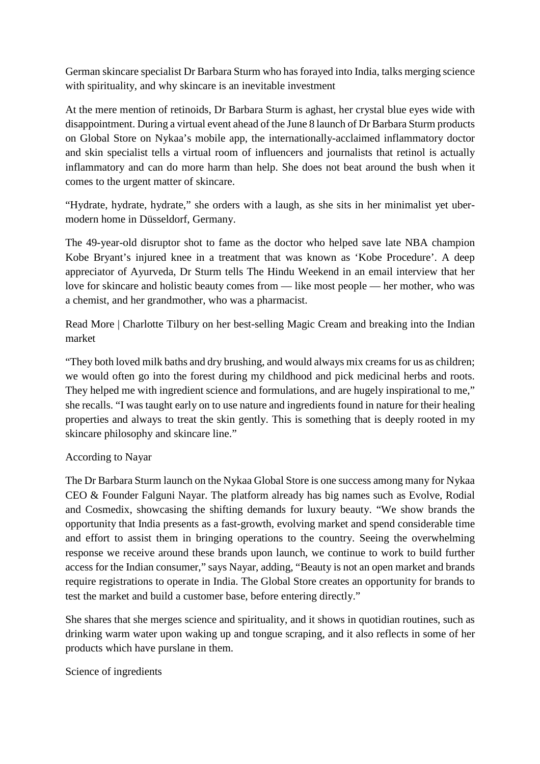German skincare specialist Dr Barbara Sturm who has forayed into India, talks merging science with spirituality, and why skincare is an inevitable investment

At the mere mention of retinoids, Dr Barbara Sturm is aghast, her crystal blue eyes wide with disappointment. During a virtual event ahead of the June 8 launch of Dr Barbara Sturm products on Global Store on Nykaa's mobile app, the internationally-acclaimed inflammatory doctor and skin specialist tells a virtual room of influencers and journalists that retinol is actually inflammatory and can do more harm than help. She does not beat around the bush when it comes to the urgent matter of skincare.

"Hydrate, hydrate, hydrate," she orders with a laugh, as she sits in her minimalist yet ubermodern home in Düsseldorf, Germany.

The 49-year-old disruptor shot to fame as the doctor who helped save late NBA champion Kobe Bryant's injured knee in a treatment that was known as 'Kobe Procedure'. A deep appreciator of Ayurveda, Dr Sturm tells The Hindu Weekend in an email interview that her love for skincare and holistic beauty comes from — like most people — her mother, who was a chemist, and her grandmother, who was a pharmacist.

Read More | Charlotte Tilbury on her best-selling Magic Cream and breaking into the Indian market

"They both loved milk baths and dry brushing, and would always mix creams for us as children; we would often go into the forest during my childhood and pick medicinal herbs and roots. They helped me with ingredient science and formulations, and are hugely inspirational to me," she recalls. "I was taught early on to use nature and ingredients found in nature for their healing properties and always to treat the skin gently. This is something that is deeply rooted in my skincare philosophy and skincare line."

#### According to Nayar

The Dr Barbara Sturm launch on the Nykaa Global Store is one success among many for Nykaa CEO & Founder Falguni Nayar. The platform already has big names such as Evolve, Rodial and Cosmedix, showcasing the shifting demands for luxury beauty. "We show brands the opportunity that India presents as a fast-growth, evolving market and spend considerable time and effort to assist them in bringing operations to the country. Seeing the overwhelming response we receive around these brands upon launch, we continue to work to build further access for the Indian consumer," says Nayar, adding, "Beauty is not an open market and brands require registrations to operate in India. The Global Store creates an opportunity for brands to test the market and build a customer base, before entering directly."

She shares that she merges science and spirituality, and it shows in quotidian routines, such as drinking warm water upon waking up and tongue scraping, and it also reflects in some of her products which have purslane in them.

Science of ingredients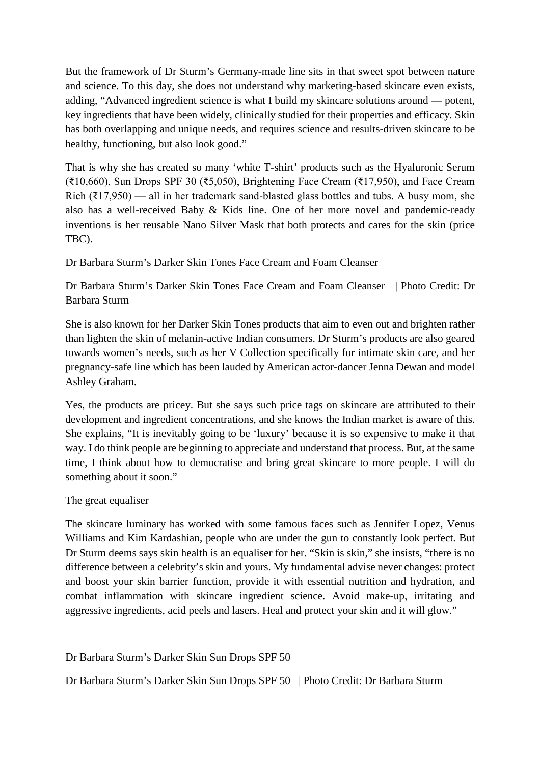But the framework of Dr Sturm's Germany-made line sits in that sweet spot between nature and science. To this day, she does not understand why marketing-based skincare even exists, adding, "Advanced ingredient science is what I build my skincare solutions around — potent, key ingredients that have been widely, clinically studied for their properties and efficacy. Skin has both overlapping and unique needs, and requires science and results-driven skincare to be healthy, functioning, but also look good."

That is why she has created so many 'white T-shirt' products such as the Hyaluronic Serum (₹10,660), Sun Drops SPF 30 (₹5,050), Brightening Face Cream (₹17,950), and Face Cream Rich ( $\overline{x}$ 17,950) — all in her trademark sand-blasted glass bottles and tubs. A busy mom, she also has a well-received Baby & Kids line. One of her more novel and pandemic-ready inventions is her reusable Nano Silver Mask that both protects and cares for the skin (price TBC).

Dr Barbara Sturm's Darker Skin Tones Face Cream and Foam Cleanser

Dr Barbara Sturm's Darker Skin Tones Face Cream and Foam Cleanser | Photo Credit: Dr Barbara Sturm

She is also known for her Darker Skin Tones products that aim to even out and brighten rather than lighten the skin of melanin-active Indian consumers. Dr Sturm's products are also geared towards women's needs, such as her V Collection specifically for intimate skin care, and her pregnancy-safe line which has been lauded by American actor-dancer Jenna Dewan and model Ashley Graham.

Yes, the products are pricey. But she says such price tags on skincare are attributed to their development and ingredient concentrations, and she knows the Indian market is aware of this. She explains, "It is inevitably going to be 'luxury' because it is so expensive to make it that way. I do think people are beginning to appreciate and understand that process. But, at the same time, I think about how to democratise and bring great skincare to more people. I will do something about it soon."

#### The great equaliser

The skincare luminary has worked with some famous faces such as Jennifer Lopez, Venus Williams and Kim Kardashian, people who are under the gun to constantly look perfect. But Dr Sturm deems says skin health is an equaliser for her. "Skin is skin," she insists, "there is no difference between a celebrity's skin and yours. My fundamental advise never changes: protect and boost your skin barrier function, provide it with essential nutrition and hydration, and combat inflammation with skincare ingredient science. Avoid make-up, irritating and aggressive ingredients, acid peels and lasers. Heal and protect your skin and it will glow."

Dr Barbara Sturm's Darker Skin Sun Drops SPF 50

Dr Barbara Sturm's Darker Skin Sun Drops SPF 50 | Photo Credit: Dr Barbara Sturm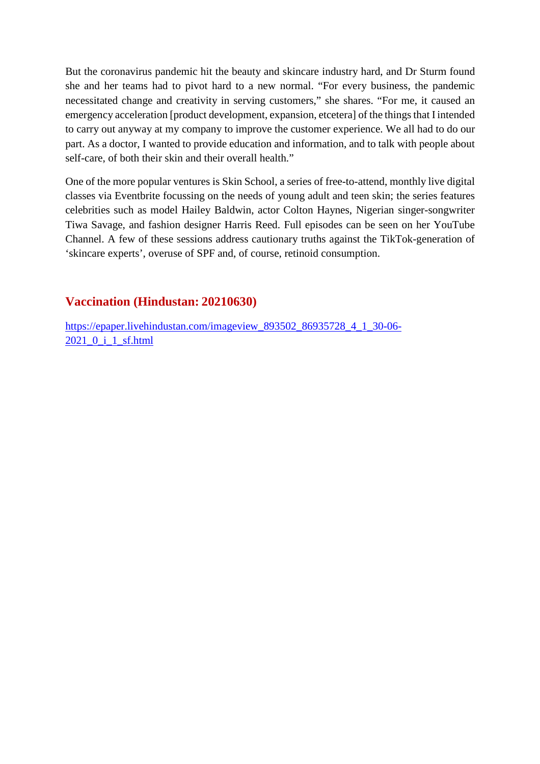But the coronavirus pandemic hit the beauty and skincare industry hard, and Dr Sturm found she and her teams had to pivot hard to a new normal. "For every business, the pandemic necessitated change and creativity in serving customers," she shares. "For me, it caused an emergency acceleration [product development, expansion, etcetera] of the things that I intended to carry out anyway at my company to improve the customer experience. We all had to do our part. As a doctor, I wanted to provide education and information, and to talk with people about self-care, of both their skin and their overall health."

One of the more popular ventures is Skin School, a series of free-to-attend, monthly live digital classes via Eventbrite focussing on the needs of young adult and teen skin; the series features celebrities such as model Hailey Baldwin, actor Colton Haynes, Nigerian singer-songwriter Tiwa Savage, and fashion designer Harris Reed. Full episodes can be seen on her YouTube Channel. A few of these sessions address cautionary truths against the TikTok-generation of 'skincare experts', overuse of SPF and, of course, retinoid consumption.

#### **Vaccination (Hindustan: 20210630)**

https://epaper.livehindustan.com/imageview\_893502\_86935728\_4\_1\_30-06- 2021\_0\_i\_1\_sf.html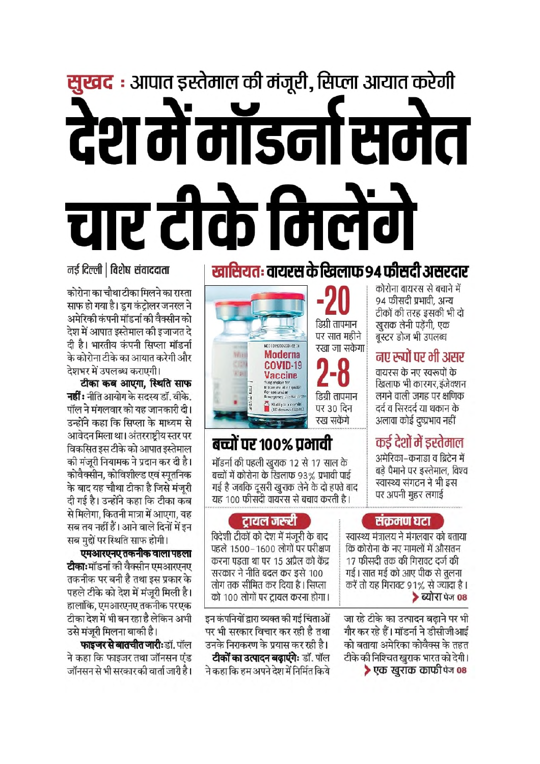# **सुखद :** आपात इस्तेमाल की मंजूरी, सिप्ला आयात करेगी देश में मॉडर्ना समेत चार टीके निलेंगे

#### नई दिल्ली | विशेष संवाददाता

कोरोना का चौथा टीका मिलने का रास्ता साफ हो गया है। डग कंटोलर जनरल ने अमेरिकी कंपनी मॉडर्ना की वैक्सीन को देश में आपात इस्तेमाल की इजाजत दे दी है। भारतीय कंपनी सिप्ला मॉडर्ना के कोरोना टीके का आयात करेगी और देशभर में उपलब्ध कराएगी।

टीका कब आएगा. स्थिति साफ **नहीं :** नीति आयोग के सदस्य डॉ. वीके. पॉल ने मंगलवार को यह जानकारी दी। उन्होंने कहा कि सिप्ला के माध्यम से आवेदन मिला था। अंतरराष्टीय स्तर पर विकसित इस टीके को आपात इस्तेमाल की मंजुरी नियामक ने प्रदान कर दी है। कोवैक्सीन, कोविशील्ड एवं स्पतनिक के बाद यह चौथा टीका है जिसे मंजुरी दी गई है। उन्होंने कहा कि टीका कब से मिलेगा. कितनी मात्रा में आएगा. यह सब तय नहीं हैं। आने वाले दिनों में इन सब मुद्दों पर स्थिति साफ होगी।

एमआरएनए तकनीक वाला पहला **टीकाः**मॉडर्ना की वैक्सीन एमआरएनए तकनीक पर बनी है तथा इस प्रकार के पहले टीके को देश में मंजरी मिली है। हालांकि. एमआरएनए तकनीक परएक टीका देश में भी बन रहा है लेकिन अभी उसे मंजरी मिलना बाकी है।

फाइजर से बातचीत जारी:डॉ. पॉल ने कहा कि फाइजर तथा जॉनसन एंड जॉनसन से भी सरकार की वार्ता जारी है।

### खासियतः वायरस के खिलाफ 94 फीसदी असरदार

94 फीसदी प्रभावी. अन्य टीकों की तरह इसकी भी दो डिग्री तापमान खुराक लेनी पडेंगी, एक पर सात महीने बस्टर डोज भी उपलब्ध रखा जा सकेगा नए रुपों पर भी असर Ω वायरस के नए स्वरूपों के -0 रिवलाफ भी कारगर इंजेक्शन डिग्री तापमान लगने वाली जगह पर क्षणिक दर्द व सिरदर्द या थकान के पर 30 दिन अलावा कोई दृष्प्रभाव नहीं



### बच्चों पर १००% प्रभावी

मॉडर्ना की पहली खराक 12 से 17 साल के बच्चों में कोरोना के खिलाफ 93% प्रभावी पाई गई है जबकि दूसरी खुराक लेने के दो हफ्ते बाद यह 100 फीसदी वायरस से बचाव करती है।

#### संकमण घटा

कोरोना वायरस से बचाने में

कर्ड देशों में डस्तेमाल

अमेरिका–कनाडा व ब्रिटेन में

बड़े पैमाने पर इस्तेमाल, विश्व

स्वास्थ्य संगठन ने भी इस

पर अपनी महर लगाई

स्वास्थ्य मंत्रालय ने मंगलवार को बताया कि कोरोना के नए मामलों में औसतन 17 फीसदी तक की गिरावट दर्ज की गई। सात मई को आए पीक से तुलना करें तो यह गिरावट 91% से ज्यादा है। ▶ ब्योरा पेज 08

जा रहे टीके का उत्पादन बढाने पर भी गौर कर रहे हैं। मॉडर्ना ने डीसीजीआई को बताया अमेरिका कोवैक्स के तहत टीके की निश्चित खुराक भारत को देगी। ▶ एक खराक काफी पेज 08

#### टायल जरूरी

विदेशी टीकों को देश में मंजरी के बाद पहले 1500–1600 लोगों पर परीक्षण करना पडता था पर 15 अप्रैल को केंद्र सरकार ने नीति बदल कर इसे 100 लोग तक सीमित कर दिया है। सिप्ला को 100 लोगों पर ट्रायल करना होगा।

इन कंपनियों द्वारा व्यक्त की गई चिंताओं पर भी सरकार विचार कर रही है तथा उनके निराकरण के प्रयास कर रही है। टीकों का उत्पादन बढाएंगे: डॉ. पॉल ने कहा कि हम अपने देश में निर्मित किये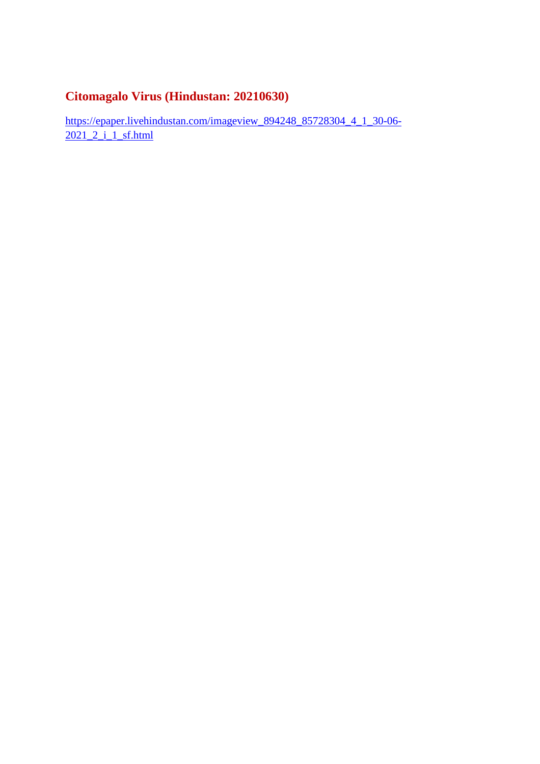#### **Citomagalo Virus (Hindustan: 20210630)**

https://epaper.livehindustan.com/imageview\_894248\_85728304\_4\_1\_30-06- 2021\_2\_i\_1\_sf.html